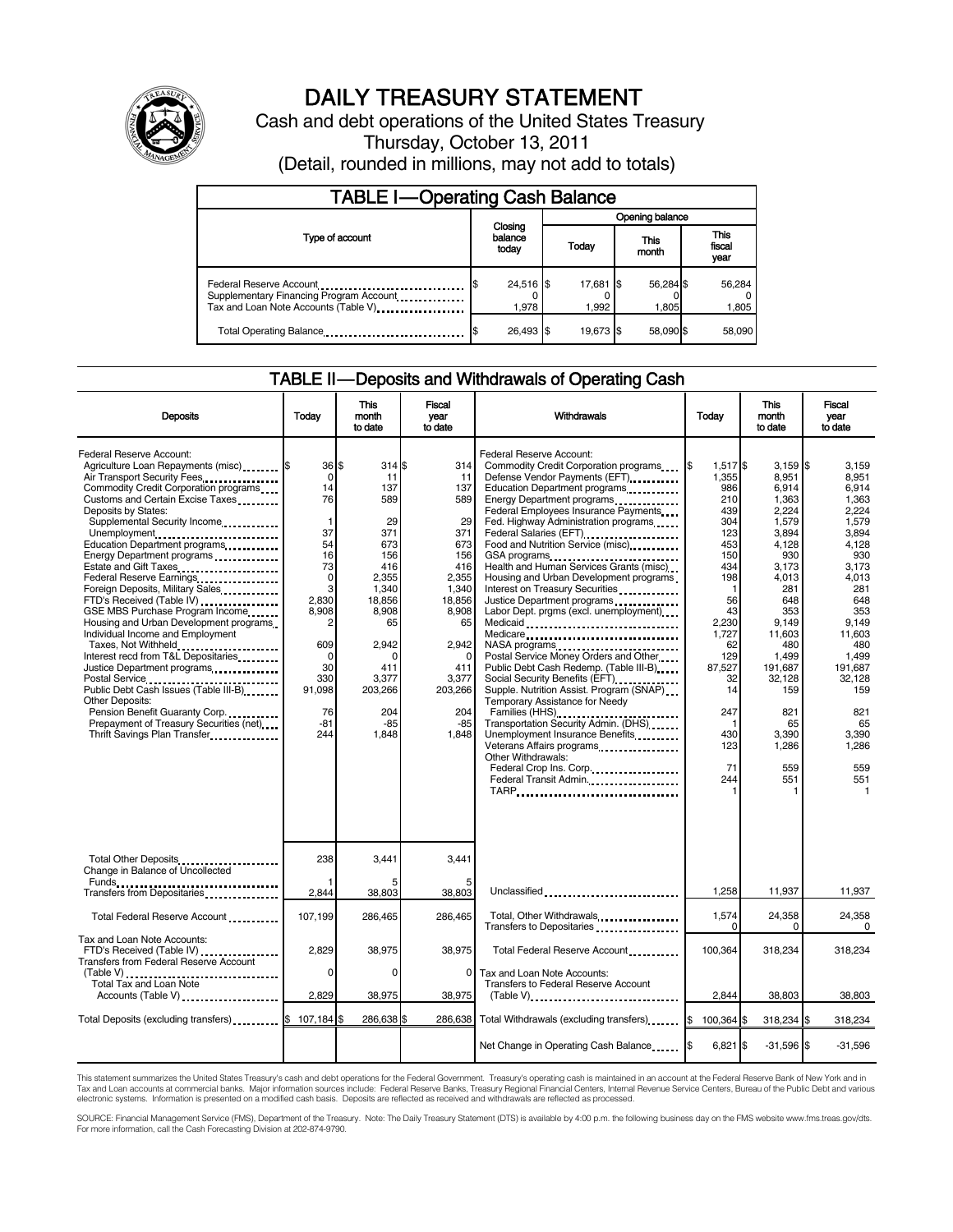

# DAILY TREASURY STATEMENT

Cash and debt operations of the United States Treasury Thursday, October 13, 2011 (Detail, rounded in millions, may not add to totals)

| <b>TABLE I-Operating Cash Balance</b>                                                                      |                             |  |                    |                    |                               |  |  |  |
|------------------------------------------------------------------------------------------------------------|-----------------------------|--|--------------------|--------------------|-------------------------------|--|--|--|
|                                                                                                            |                             |  | Opening balance    |                    |                               |  |  |  |
| Type of account                                                                                            | Closing<br>balance<br>today |  | Today              | This<br>month      | <b>This</b><br>fiscal<br>year |  |  |  |
| Federal Reserve Account<br>Supplementary Financing Program Account<br>Tax and Loan Note Accounts (Table V) | $24,516$ \$<br>1.978        |  | 17,681 \$<br>1.992 | 56,284 \$<br>1,805 | 56,284<br>1,805               |  |  |  |
| Total Operating Balance                                                                                    | 26.493 \$                   |  | 19.673 \$          | 58.090 \$          | 58,090                        |  |  |  |

### TABLE II — Deposits and Withdrawals of Operating Cash

| <b>Deposits</b>                                                                                                                                                                                                                                                                                                                                                                                                                                                                                                                                                                                                                                                                                                                                                                            | Todav                                                                                                                                                                  | <b>This</b><br>month<br>to date                                                                                                                                                | <b>Fiscal</b><br>vear<br>to date                                                                                                                                              | Withdrawals                                                                                                                                                                                                                                                                                                                                                                                                                                                                                                                                                                                                                                                                                                                                                                                                                                                                                                                                  | Today                                                                                                                                                                                      | <b>This</b><br>month<br>to date                                                                                                                                                                                                     | Fiscal<br>vear<br>to date                                                                                                                                                                                                                        |
|--------------------------------------------------------------------------------------------------------------------------------------------------------------------------------------------------------------------------------------------------------------------------------------------------------------------------------------------------------------------------------------------------------------------------------------------------------------------------------------------------------------------------------------------------------------------------------------------------------------------------------------------------------------------------------------------------------------------------------------------------------------------------------------------|------------------------------------------------------------------------------------------------------------------------------------------------------------------------|--------------------------------------------------------------------------------------------------------------------------------------------------------------------------------|-------------------------------------------------------------------------------------------------------------------------------------------------------------------------------|----------------------------------------------------------------------------------------------------------------------------------------------------------------------------------------------------------------------------------------------------------------------------------------------------------------------------------------------------------------------------------------------------------------------------------------------------------------------------------------------------------------------------------------------------------------------------------------------------------------------------------------------------------------------------------------------------------------------------------------------------------------------------------------------------------------------------------------------------------------------------------------------------------------------------------------------|--------------------------------------------------------------------------------------------------------------------------------------------------------------------------------------------|-------------------------------------------------------------------------------------------------------------------------------------------------------------------------------------------------------------------------------------|--------------------------------------------------------------------------------------------------------------------------------------------------------------------------------------------------------------------------------------------------|
| Federal Reserve Account:<br>Agriculture Loan Repayments (misc) \$<br>Air Transport Security Fees<br>Commodity Credit Corporation programs<br>Customs and Certain Excise Taxes<br>Deposits by States:<br>Supplemental Security Income<br>Unemployment<br>Education Department programs<br>Energy Department programs<br>Estate and Gift Taxes<br>Federal Reserve Earnings<br>Foreign Deposits, Military Sales<br>FTD's Received (Table IV)<br>GSE MBS Purchase Program Income<br>Housing and Urban Development programs<br>Individual Income and Employment<br>Taxes, Not Withheld<br>Interest recd from T&L Depositaries<br>Justice Department programs<br><br>Other Deposits:<br>Pension Benefit Guaranty Corp<br>Prepayment of Treasury Securities (net)<br>Thrift Savings Plan Transfer | 36 \$<br>0<br>14<br>76<br>$\vert$ 1<br>37<br>54<br>16<br>73<br>$\mathbf 0$<br>3<br>2,830<br>8,908<br>2<br>609<br>$\Omega$<br>30<br>330<br>91.098<br>76<br>$-81$<br>244 | 314S<br>11<br>137<br>589<br>29<br>371<br>673<br>156<br>416<br>2,355<br>1,340<br>18,856<br>8,908<br>65<br>2.942<br>$\Omega$<br>411<br>3.377<br>203,266<br>204<br>$-85$<br>1,848 | 314<br>11<br>137<br>589<br>29<br>371<br>673<br>156<br>416<br>2,355<br>1,340<br>18,856<br>8,908<br>65<br>2.942<br>$\Omega$<br>411<br>3.377<br>203.266<br>204<br>$-85$<br>1,848 | Federal Reserve Account:<br>Commodity Credit Corporation programs<br>Defense Vendor Payments (EFT)<br>Education Department programs<br>Energy Department programs<br>Federal Employees Insurance Payments<br>Fed. Highway Administration programs<br>Federal Salaries (EFT)<br>Food and Nutrition Service (misc).<br>Health and Human Services Grants (misc)<br>Housing and Urban Development programs<br>Interest on Treasury Securities<br>Justice Department programs<br>Labor Dept. prgms (excl. unemployment)<br>Medicaid<br>Medicare<br>NASA programs<br>Postal Service Money Orders and Other<br>Public Debt Cash Redemp. (Table III-B)<br>Social Security Benefits (EFT)<br>Supple. Nutrition Assist. Program (SNAP)<br>Temporary Assistance for Needy<br>Families (HHS)<br>Transportation Security Admin. (DHS)<br>Unemployment Insurance Benefits<br>Other Withdrawals:<br>Federal Crop Ins. Corp<br>Federal Transit Admin<br>TARP | l\$<br>1,517 \$<br>1,355<br>986<br>210<br>439<br>304<br>123<br>453<br>150<br>434<br>198<br>56<br>43<br>2.230<br>1.727<br>62<br>129<br>87.527<br>32<br>14<br>247<br>430<br>123<br>71<br>244 | $3,159$ \$<br>8,951<br>6,914<br>1,363<br>2,224<br>1,579<br>3.894<br>4,128<br>930<br>3,173<br>4,013<br>281<br>648<br>353<br>9.149<br>11,603<br>480<br>1.499<br>191.687<br>32.128<br>159<br>821<br>65<br>3,390<br>1,286<br>559<br>551 | 3,159<br>8.951<br>6,914<br>1.363<br>2.224<br>1.579<br>3.894<br>4.128<br>930<br>3,173<br>4,013<br>281<br>648<br>353<br>9.149<br>11.603<br>480<br>1.499<br>191.687<br>32.128<br>159<br>821<br>65<br>3,390<br>1,286<br>559<br>551<br>$\overline{1}$ |
| Total Other Deposits<br>Change in Balance of Uncollected                                                                                                                                                                                                                                                                                                                                                                                                                                                                                                                                                                                                                                                                                                                                   | 238                                                                                                                                                                    | 3.441                                                                                                                                                                          | 3.441                                                                                                                                                                         |                                                                                                                                                                                                                                                                                                                                                                                                                                                                                                                                                                                                                                                                                                                                                                                                                                                                                                                                              |                                                                                                                                                                                            |                                                                                                                                                                                                                                     |                                                                                                                                                                                                                                                  |
| Transfers from Depositaries                                                                                                                                                                                                                                                                                                                                                                                                                                                                                                                                                                                                                                                                                                                                                                | 2,844                                                                                                                                                                  | 38,803                                                                                                                                                                         | 38,803                                                                                                                                                                        | Unclassified                                                                                                                                                                                                                                                                                                                                                                                                                                                                                                                                                                                                                                                                                                                                                                                                                                                                                                                                 | 1,258                                                                                                                                                                                      | 11,937                                                                                                                                                                                                                              | 11,937                                                                                                                                                                                                                                           |
| Total Federal Reserve Account                                                                                                                                                                                                                                                                                                                                                                                                                                                                                                                                                                                                                                                                                                                                                              | 107,199                                                                                                                                                                | 286,465                                                                                                                                                                        | 286.465                                                                                                                                                                       | Total, Other Withdrawals<br>Transfers to Depositaries<br>Transfers to Depositaries                                                                                                                                                                                                                                                                                                                                                                                                                                                                                                                                                                                                                                                                                                                                                                                                                                                           | 1,574<br>0                                                                                                                                                                                 | 24,358<br>0                                                                                                                                                                                                                         | 24,358<br>$\Omega$                                                                                                                                                                                                                               |
| Tax and Loan Note Accounts:<br>FTD's Received (Table IV)<br>Transfers from Federal Reserve Account                                                                                                                                                                                                                                                                                                                                                                                                                                                                                                                                                                                                                                                                                         | 2,829<br>$\Omega$                                                                                                                                                      | 38,975                                                                                                                                                                         | 38,975                                                                                                                                                                        | Total Federal Reserve Account                                                                                                                                                                                                                                                                                                                                                                                                                                                                                                                                                                                                                                                                                                                                                                                                                                                                                                                | 100,364                                                                                                                                                                                    | 318,234                                                                                                                                                                                                                             | 318,234                                                                                                                                                                                                                                          |
| <b>Total Tax and Loan Note</b><br>Accounts (Table V)                                                                                                                                                                                                                                                                                                                                                                                                                                                                                                                                                                                                                                                                                                                                       | 2,829                                                                                                                                                                  | 0<br>38,975                                                                                                                                                                    | $\Omega$<br>38,975                                                                                                                                                            | Tax and Loan Note Accounts:<br>Transfers to Federal Reserve Account<br>$(Table V)$ ,                                                                                                                                                                                                                                                                                                                                                                                                                                                                                                                                                                                                                                                                                                                                                                                                                                                         | 2.844                                                                                                                                                                                      | 38,803                                                                                                                                                                                                                              | 38,803                                                                                                                                                                                                                                           |
| Total Deposits (excluding transfers) \$                                                                                                                                                                                                                                                                                                                                                                                                                                                                                                                                                                                                                                                                                                                                                    | 107,184 \$                                                                                                                                                             | 286,638 \$                                                                                                                                                                     | 286.638                                                                                                                                                                       | Total Withdrawals (excluding transfers)                                                                                                                                                                                                                                                                                                                                                                                                                                                                                                                                                                                                                                                                                                                                                                                                                                                                                                      | I\$<br>100,364 \$                                                                                                                                                                          | 318,234 \$                                                                                                                                                                                                                          | 318,234                                                                                                                                                                                                                                          |
|                                                                                                                                                                                                                                                                                                                                                                                                                                                                                                                                                                                                                                                                                                                                                                                            |                                                                                                                                                                        |                                                                                                                                                                                |                                                                                                                                                                               |                                                                                                                                                                                                                                                                                                                                                                                                                                                                                                                                                                                                                                                                                                                                                                                                                                                                                                                                              |                                                                                                                                                                                            |                                                                                                                                                                                                                                     |                                                                                                                                                                                                                                                  |
|                                                                                                                                                                                                                                                                                                                                                                                                                                                                                                                                                                                                                                                                                                                                                                                            |                                                                                                                                                                        |                                                                                                                                                                                |                                                                                                                                                                               | Net Change in Operating Cash Balance                                                                                                                                                                                                                                                                                                                                                                                                                                                                                                                                                                                                                                                                                                                                                                                                                                                                                                         | $6,821$ \$<br>1\$                                                                                                                                                                          | $-31,596$ \$                                                                                                                                                                                                                        | $-31,596$                                                                                                                                                                                                                                        |

This statement summarizes the United States Treasury's cash and debt operations for the Federal Government. Treasury's operating cash is maintained in an account at the Federal Reserve Bank of New York and in<br>Tax and Loan

SOURCE: Financial Management Service (FMS), Department of the Treasury. Note: The Daily Treasury Statement (DTS) is available by 4:00 p.m. the following business day on the FMS website www.fms.treas.gov/dts.<br>For more infor